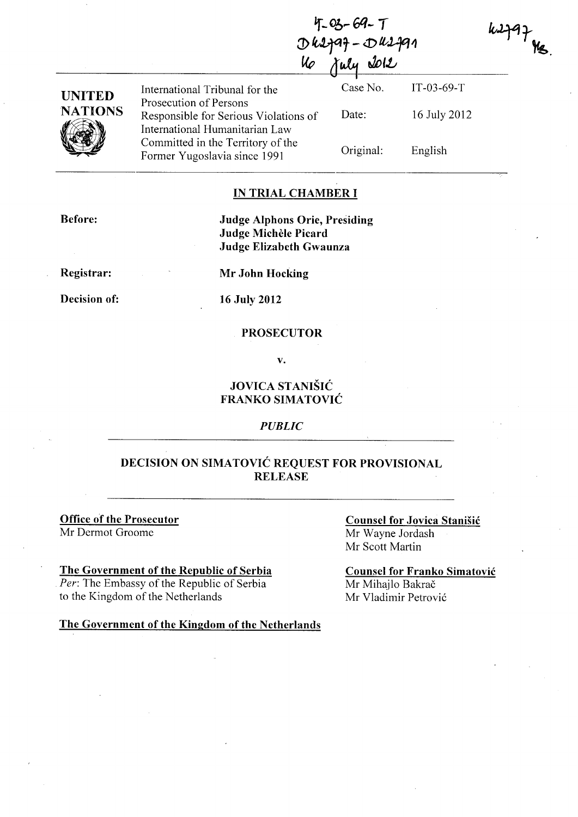|                                 | $4 - 03 - 69 - 7$<br>$D$ 42797 - $D$ 42791                                                          |                   |                              | k J |
|---------------------------------|-----------------------------------------------------------------------------------------------------|-------------------|------------------------------|-----|
|                                 |                                                                                                     |                   |                              |     |
| <b>UNITED</b><br><b>NATIONS</b> | International Tribunal for the<br>Prosecution of Persons<br>Responsible for Serious Violations of   | Case No.<br>Date: | $IT-03-69-T$<br>16 July 2012 |     |
|                                 | International Humanitarian Law<br>Committed in the Territory of the<br>Former Yugoslavia since 1991 | Original:         | English                      |     |

### **IN TRIAL CHAMBER I**

**Before:** 

**Judge Alphons Orie, Presiding Judge Michele Picard Judge Elizabeth Gwaunza** 

**Registrar:** 

**Decision of:** 

**Mr John Hocking** 

**16 July 2012** 

#### **PROSECUTOR**

v.

## **JOVICA STANISIC FRANKO SIMATOVIC**

### *PUBLIC*

## **DECISION ON SIMATOVIC REQUEST FOR PROVISIONAL RELEASE**

**Office of the Prosecutor**  Mr Dermot Groome

**The Government of the Republic of Serbia**  Per: The Embassy of the Republic of Serbia to the Kingdom of the Netherlands

**The Government** of the **Kingdom** of the **Netherlands** 

**Counsel for Jovica Stanisic**  Mr Wayne Jordash Mr Scott Martin

**Counsel for Franko Simatovic**  Mr Mihajlo Bakrač Mr Vladimir Petrovi6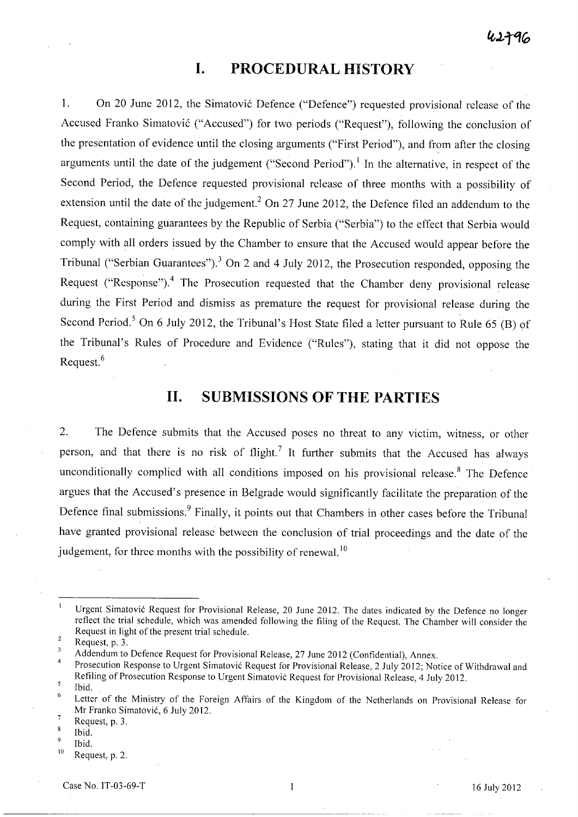# **I. PROCEDURAL HISTORY**

1. On 20 June 2012, the Simatovic Defence ("Defence") requested provisional release of the Accused Franko Simatović ("Accused") for two periods ("Request"), following the conclusion of the presentation of evidence until the closing arguments ("First Period"), and from after the closing arguments until the date of the judgement ("Second Period").<sup>1</sup> In the alternative, in respect of the Second Period, the Defence requested provisional release of three months with a possibility of extension until the date of the judgement.<sup>2</sup> On 27 June 2012, the Defence filed an addendum to the Request, containing guarantees by the Republic of Serbia ("Serbia") to the effect that Serbia would comply with all orders issued by the Chamber to ensure that the Accused would appear before the Tribunal ("Serbian Guarantees").<sup>3</sup> On 2 and 4 July 2012, the Prosecution responded, opposing the Request ("Response").<sup>4</sup> The Prosecution requested that the Chamber deny provisional release during the First Period and dismiss as premature the request for provisional release during the Second Period.<sup>5</sup> On 6 July 2012, the Tribunal's Host State filed a letter pursuant to Rule 65 (B) of the Tribunal's Rules of Procedure and Evidence ("Rules"), stating that it did not oppose the Request. <sup>6</sup>

# **11. SUBMISSIONS OF THE PARTIES**

2. The Defence submits that the Accused poses no threat to any victim, witness, or other person, and that there is no risk of flight.<sup>7</sup> It further submits that the Accused has always unconditionally complied with all conditions imposed on his provisional release.<sup>8</sup> The Defence argues that the Accused's presence in Belgrade would significantly facilitate the preparation of the Defence final submissions.<sup>9</sup> Finally, it points out that Chambers in other cases before the Tribunal have granted provisional release between the conclusion of trial proceedings and the date of the judgement, for three months with the possibility of renewal.  $10$ 

Urgent Simatovic Request for Provisional Release, 20 June 2012. The dates indicated by the Defence no longer reflect the trial schedule, which was amended following the filing of the Request. The Chamber will consider the Request in light of the present trial schedule.

 $\overline{2}$ Request, p. 3.

<sup>3</sup> Addendum to Defence Request for Provisional Release, 27 June 2012 (Confidential), Annex.

<sup>4</sup>  Prosecution Response to Urgent Simatovic Request for Provisional Release, 2 July 2012; Notice of Withdrawal and Refiling of Prosecution Response to Urgent Simatovic Request for Provisional Release, 4 July 2012.  $\mathsf S$ 

Ibid. 6

Letter of the Ministry of the Foreign Affairs of the Kingdom of the Netherlands on Provisional Release for Mr Franko Simatovic, 6 July 2012.  $\overline{7}$ 

Request, p. 3.  $\overline{\mathbf{8}}$ 

Ibid.  $\overline{9}$ 

Ibid.

 $10$  Request, p. 2.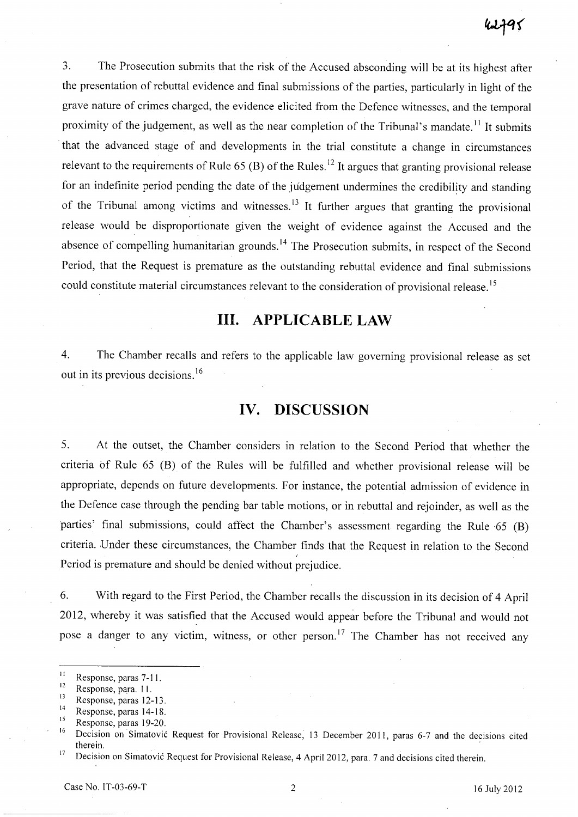3. The Prosecution submits that the risk of the Accused absconding will be at its highest after the presentation of rebuttal evidence and final submissions of the parties, particularly in light of the grave nature of crimes charged, the evidence elicited from the Defence witnesses, and the temporal proximity of the judgement, as well as the near completion of the Tribunal's mandate.<sup>11</sup> It submits that the advanced stage of and developments in the trial constitute a change in circumstances relevant to the requirements of Rule 65 (B) of the Rules.<sup>12</sup> It argues that granting provisional release for an indefinite period pending the date of the judgement undermines the credibility and standing of the Tribunal among victims and witnesses.<sup>13</sup> It further argues that granting the provisional release would be disproportionate given the weight of evidence against the Accused and the absence of compelling humanitarian grounds.<sup>14</sup> The Prosecution submits, in respect of the Second Period, that the Request is premature as the outstanding rebuttal evidence and final submissions could constitute material circumstances relevant to the consideration of provisional release.<sup>15</sup>

# **Ill. APPLICABLE LAW**

4. The Chamber recalls and refers to the applicable law governing provisional release as set out in its previous decisions. <sup>16</sup>

## **IV. DISCUSSION**

5. At the outset, the Chamber considers in relation to the Second Period that whether the criteria of Rule 65 CB) of the Rules will be fulfilled and whether provisional release will be appropriate, depends on future developments. For instance, the potential admission of evidence in the Defence case through the pending bar table motions, or in rebuttal and rejoinder, as well as the parties' final submissions, could affect the Chamber's assessment regarding the Rule 65 (B) criteria. Under these circumstances, the Chamber finds that the Request in relation to the Second Period is premature and should be denied without prejudice.

6. With regard to the First Period, the Chamber recalls the discussion in its decision of 4 April 2012, whereby it was satisfied that the Accused would appear before the Tribunal and would not pose a danger to any victim, witness, or other person.<sup>17</sup> The Chamber has not received any

 $\frac{11}{12}$  Response, paras 7-11.

 $\frac{12}{13}$  Response, para. 11.

 $\frac{13}{14}$  Response, paras 12-13.

 $14$  Response, paras 14-18.

 $15$  Response, paras 19-20.

Decision on Simatović Request for Provisional Release, 13 December 2011, paras 6-7 and the decisions cited therein.

<sup>&</sup>lt;sup>17</sup> Decision on Simatović Request for Provisional Release, 4 April 2012, para. 7 and decisions cited therein.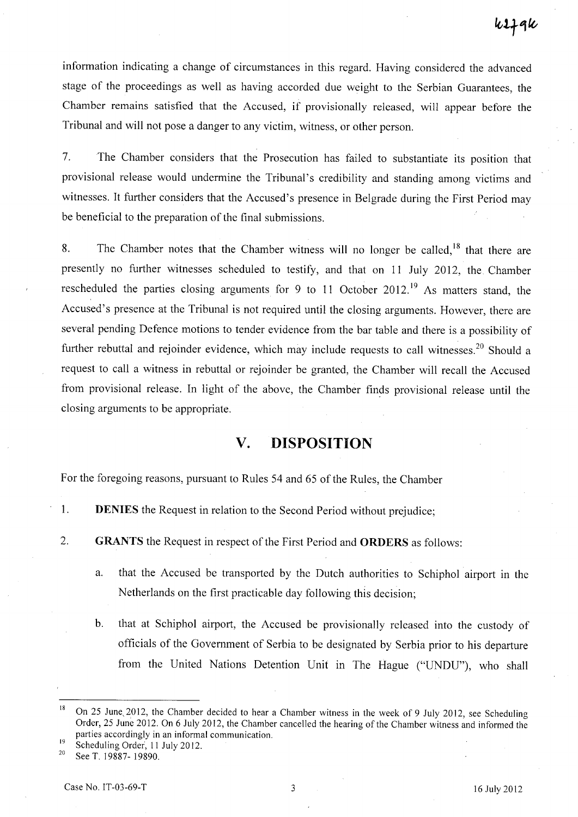information indicating a change of circumstances in this regard. Having considered the advanced stage of the proceedings as well as having accorded due weight to the Serbian Guarantees, the Chamber remains satisfied that the Accused, if provisionally released, will appear before the Tribunal and will not pose a danger to any victim, witness, or other person.

7. The Chamber considers that the Prosecution has failed to substantiate its position that provisional release would undermine the Tribunal's credibility and standing among victims and witnesses. It further considers that the Accused's presence in Belgrade during the First Period may be beneficial to the preparation of the final submissions.

8. The Chamber notes that the Chamber witness will no longer be called,  $18$  that there are presently no further witnesses scheduled to testify, and that on 11 July 2012, the Chamber rescheduled the parties closing arguments for 9 to 11 October 2012.<sup>19</sup> As matters stand, the Accused's presence at the Tribunal is not required until the closing arguments. However, there are several pending Defence motions to tender evidence from the bar table and there is a possibility of further rebuttal and rejoinder evidence, which may include requests to call witnesses.<sup>20</sup> Should a request to call a witness in rebuttal or rejoinder be granted, the Chamber will recall the Accused from provisional release. In light of the above, the Chamber finds provisional release until the closing arguments to be appropriate.

# **V. DISPOSITION**

For the foregoing reasons, pursuant to Rules 54 and 65 of the Rules, the Chamber

- 1. **DENIES** the Request in relation to the Second Period without prejudice;
- 2. **GRANTS** the Request in respect of the First Period and **ORDERS** as follows:
	- a. that the Accused be transported by the Dutch authorities to Schiphol airport in the Netherlands on the first practicable day following this decision;
	- b. that at Schiphol airport, the Accused be provisionally released into the custody of officials of the Government of Serbia to be designated by Serbia prior to his departure from the United Nations Detention Unit in The Hague ("UNDU"), who shall

<sup>&</sup>lt;sup>18</sup> On 25 June, 2012, the Chamber decided to hear a Chamber witness in the week of 9 July 2012, see Scheduling Order, 25 June 2012. On 6 July 2012, the Chamber cancelled the hearing of the Chamber witness and informed the parties accordingly in an informal communication.

 $^{19}$  Scheduling Order, 11 July 2012.

See T. 19887- 19890.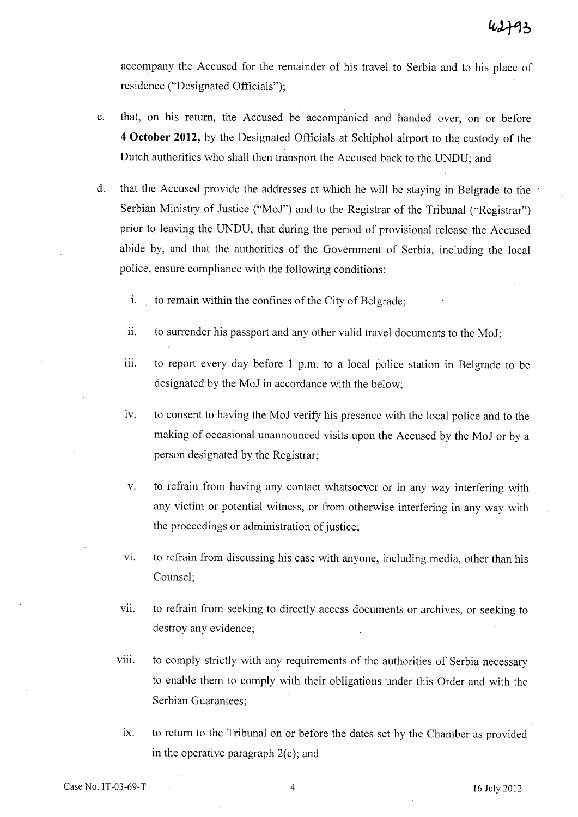accompany the Accused for the remainder of his travel to Serbia and to his place of residence ("Designated Officials");

- c. that, on his return, the Accused be accompanied and handed over, on or before **4 October 2012,** by the Designated Officials at Schiphol airport to the custody of the Dutch authorities who shall then transport the Accused back to the UNDU; and
- d. that the Accused provide the addresses at which he will be staying in Belgrade to the Serbian Ministry of Justice ("MoJ") and to the Registrar of the Tribunal ("Registrar") prior to leaving the UNDU, that during the period of provisional release the Accused abide by, and that the authorities of the Government of Serbia, including the local police, ensure compliance with the following conditions:
	- i. to remain within the confines of the City of Belgrade;
	- ii. to surrender his passport and any other valid travel documents to the MoJ;
	- iii. to report every day before 1 p.m. to a local police station in Belgrade to be designated by the MoJ in accordance with the below;
	- iv. to consent to having the MoJ verify his presence with the local police and to the making of occasional unannounced visits upon the Accused by the MoJ or by a person designated by the Registrar;
	- v. to refrain from having any contact whatsoever or in any way interfering with any victim or potential witness, or from otherwise interfering in any way with the proceedings or administration of justice;
	- vi. to refrain from discussing his case with anyone, including media, other than his Counsel;
	- vii. to refrain from seeking to directly access documents or archives, or seeking to destroy any evidence;
	- viii. to comply strictly with any requirements of the authorities of Serbia necessary to enable them to comply with their obligations under this Order and with the Serbian Guarantees;
		- ix. to return to the Tribunal on or before the dates set by the Chamber as provided in the operative paragraph  $2(c)$ ; and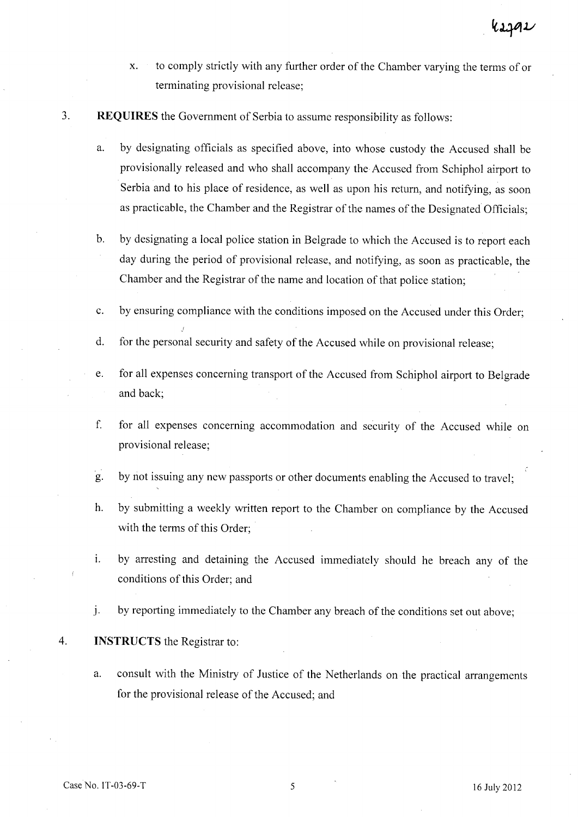- x. to comply strictly with any further order of the Chamber varying the terms of or terminating provisional release;
- 3. **REQUIRES** the Government of Serbia to assume responsibility as follows:
	- a. by designating officials as specified above, into whose custody the Accused shall be provisionally released and who shall accompany the Accused from Schiphol airport to Serbia and to his place of residence, as well as upon his return, and notifying, as soon as practicable, the Chamber and the Registrar of the names of the Designated Officials;
	- b. by designating a local police station in Belgrade to which the Accused is to report each day during the period of provisional release, and notifying, as soon as practicable, the Chamber and the Registrar of the name and location of that police station;
	- c. by ensuring compliance with the conditions imposed on the Accused under this Order;
	- d. for the personal security and safety of the Accused while on provisional release;
	- e. for all expenses concerning transport of the Accused from Schiphol airport to Belgrade and back;
	- f. for all expenses concerning accommodation and security of the Accused while on provisional release;
	- g. by not issuing any new passports or other documents enabling the Accused to travel;
	- h. by submitting a weekly written report to the Chamber on compliance by the Accused with the terms of this Order;
	- 1. by arresting and detaining the Accused immediately should he breach any of the conditions of this Order; and
	- j. by reporting immediately to the Chamber any breach of the conditions set out above;

### 4. **INSTRUCTS** the Registrar to:

a. consult with the Ministry of Justice of the Netherlands on the practical arrangements for the provisional release of the Accused; and